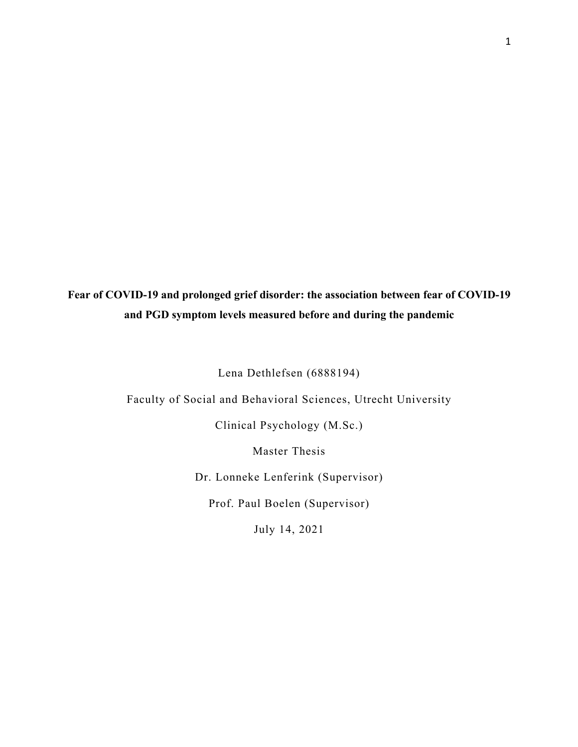# **Fear of COVID-19 and prolonged grief disorder: the association between fear of COVID-19 and PGD symptom levels measured before and during the pandemic**

Lena Dethlefsen (6888194)

Faculty of Social and Behavioral Sciences, Utrecht University

Clinical Psychology (M.Sc.)

Master Thesis

Dr. Lonneke Lenferink (Supervisor)

Prof. Paul Boelen (Supervisor)

July 14, 2021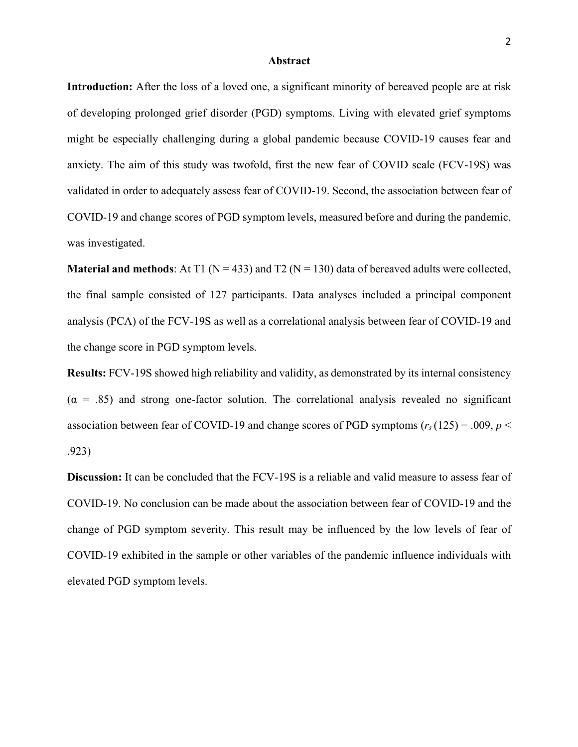#### **Abstract**

**Introduction:** After the loss of a loved one, a significant minority of bereaved people are at risk of developing prolonged grief disorder (PGD) symptoms. Living with elevated grief symptoms might be especially challenging during a global pandemic because COVID-19 causes fear and anxiety. The aim of this study was twofold, first the new fear of COVID scale (FCV-19S) was validated in order to adequately assess fear of COVID-19. Second, the association between fear of COVID-19 and change scores of PGD symptom levels, measured before and during the pandemic, was investigated.

**Material and methods:** At T1 ( $N = 433$ ) and T2 ( $N = 130$ ) data of bereaved adults were collected, the final sample consisted of 127 participants. Data analyses included a principal component analysis (PCA) of the FCV-19S as well as a correlational analysis between fear of COVID-19 and the change score in PGD symptom levels.

**Results:** FCV-19S showed high reliability and validity, as demonstrated by its internal consistency  $(\alpha = .85)$  and strong one-factor solution. The correlational analysis revealed no significant association between fear of COVID-19 and change scores of PGD symptoms  $(r_s(125) = .009, p <$ .923)

**Discussion:** It can be concluded that the FCV-19S is a reliable and valid measure to assess fear of COVID-19. No conclusion can be made about the association between fear of COVID-19 and the change of PGD symptom severity. This result may be influenced by the low levels of fear of COVID-19 exhibited in the sample or other variables of the pandemic influence individuals with elevated PGD symptom levels.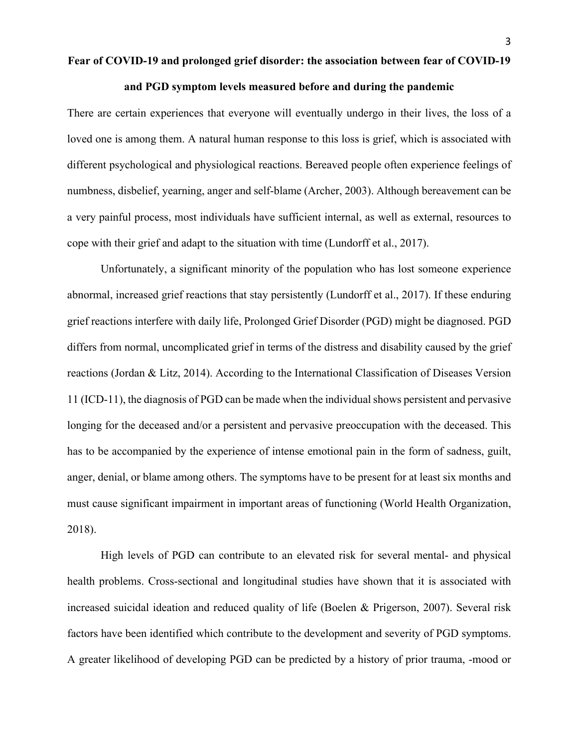#### **and PGD symptom levels measured before and during the pandemic**

There are certain experiences that everyone will eventually undergo in their lives, the loss of a loved one is among them. A natural human response to this loss is grief, which is associated with different psychological and physiological reactions. Bereaved people often experience feelings of numbness, disbelief, yearning, anger and self-blame (Archer, 2003). Although bereavement can be a very painful process, most individuals have sufficient internal, as well as external, resources to cope with their grief and adapt to the situation with time (Lundorff et al., 2017).

Unfortunately, a significant minority of the population who has lost someone experience abnormal, increased grief reactions that stay persistently (Lundorff et al., 2017). If these enduring grief reactions interfere with daily life, Prolonged Grief Disorder (PGD) might be diagnosed. PGD differs from normal, uncomplicated grief in terms of the distress and disability caused by the grief reactions (Jordan & Litz, 2014). According to the International Classification of Diseases Version 11 (ICD-11), the diagnosis of PGD can be made when the individual shows persistent and pervasive longing for the deceased and/or a persistent and pervasive preoccupation with the deceased. This has to be accompanied by the experience of intense emotional pain in the form of sadness, guilt, anger, denial, or blame among others. The symptoms have to be present for at least six months and must cause significant impairment in important areas of functioning (World Health Organization, 2018).

High levels of PGD can contribute to an elevated risk for several mental- and physical health problems. Cross-sectional and longitudinal studies have shown that it is associated with increased suicidal ideation and reduced quality of life (Boelen & Prigerson, 2007). Several risk factors have been identified which contribute to the development and severity of PGD symptoms. A greater likelihood of developing PGD can be predicted by a history of prior trauma, -mood or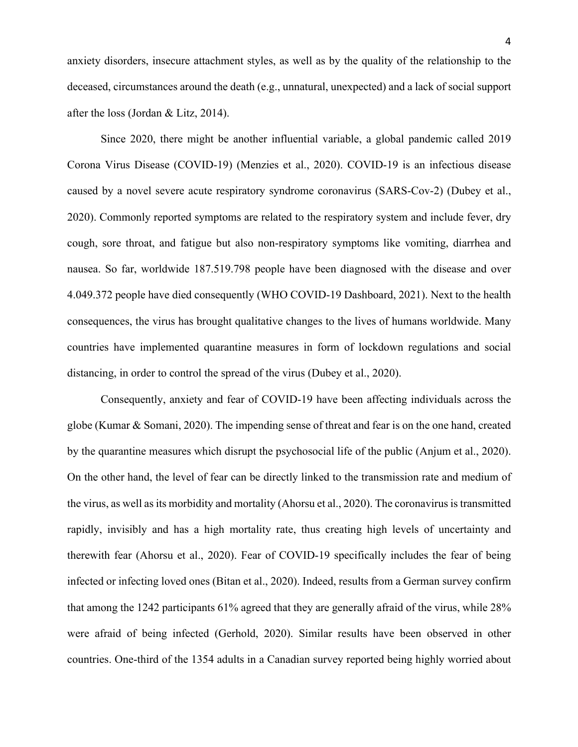anxiety disorders, insecure attachment styles, as well as by the quality of the relationship to the deceased, circumstances around the death (e.g., unnatural, unexpected) and a lack of social support after the loss (Jordan & Litz, 2014).

Since 2020, there might be another influential variable, a global pandemic called 2019 Corona Virus Disease (COVID-19) (Menzies et al., 2020). COVID-19 is an infectious disease caused by a novel severe acute respiratory syndrome coronavirus (SARS-Cov-2) (Dubey et al., 2020). Commonly reported symptoms are related to the respiratory system and include fever, dry cough, sore throat, and fatigue but also non-respiratory symptoms like vomiting, diarrhea and nausea. So far, worldwide 187.519.798 people have been diagnosed with the disease and over 4.049.372 people have died consequently (WHO COVID-19 Dashboard, 2021). Next to the health consequences, the virus has brought qualitative changes to the lives of humans worldwide. Many countries have implemented quarantine measures in form of lockdown regulations and social distancing, in order to control the spread of the virus (Dubey et al., 2020).

Consequently, anxiety and fear of COVID-19 have been affecting individuals across the globe (Kumar & Somani, 2020). The impending sense of threat and fear is on the one hand, created by the quarantine measures which disrupt the psychosocial life of the public (Anjum et al., 2020). On the other hand, the level of fear can be directly linked to the transmission rate and medium of the virus, as well as its morbidity and mortality (Ahorsu et al., 2020). The coronavirus is transmitted rapidly, invisibly and has a high mortality rate, thus creating high levels of uncertainty and therewith fear (Ahorsu et al., 2020). Fear of COVID-19 specifically includes the fear of being infected or infecting loved ones (Bitan et al., 2020). Indeed, results from a German survey confirm that among the 1242 participants 61% agreed that they are generally afraid of the virus, while 28% were afraid of being infected (Gerhold, 2020). Similar results have been observed in other countries. One-third of the 1354 adults in a Canadian survey reported being highly worried about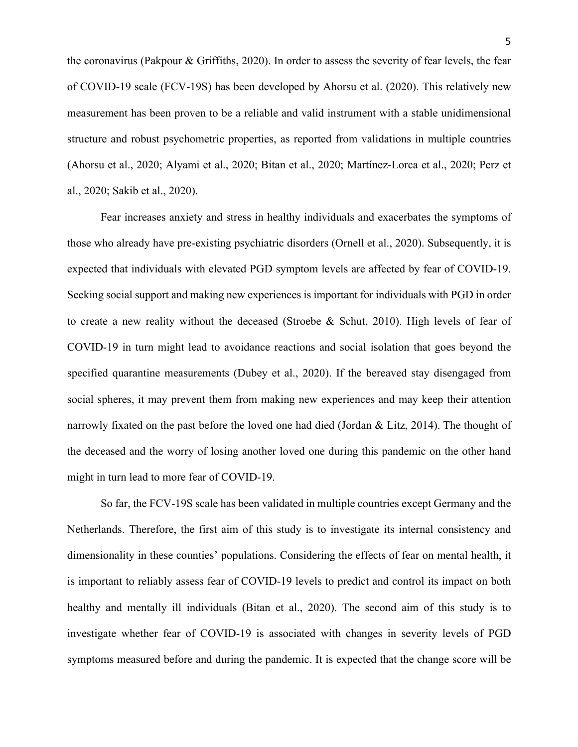5

the coronavirus (Pakpour & Griffiths, 2020). In order to assess the severity of fear levels, the fear of COVID-19 scale (FCV-19S) has been developed by Ahorsu et al. (2020). This relatively new measurement has been proven to be a reliable and valid instrument with a stable unidimensional structure and robust psychometric properties, as reported from validations in multiple countries (Ahorsu et al., 2020; Alyami et al., 2020; Bitan et al., 2020; Martínez-Lorca et al., 2020; Perz et al., 2020; Sakib et al., 2020).

Fear increases anxiety and stress in healthy individuals and exacerbates the symptoms of those who already have pre-existing psychiatric disorders (Ornell et al., 2020). Subsequently, it is expected that individuals with elevated PGD symptom levels are affected by fear of COVID-19. Seeking social support and making new experiences is important for individuals with PGD in order to create a new reality without the deceased (Stroebe & Schut, 2010). High levels of fear of COVID-19 in turn might lead to avoidance reactions and social isolation that goes beyond the specified quarantine measurements (Dubey et al., 2020). If the bereaved stay disengaged from social spheres, it may prevent them from making new experiences and may keep their attention narrowly fixated on the past before the loved one had died (Jordan & Litz, 2014). The thought of the deceased and the worry of losing another loved one during this pandemic on the other hand might in turn lead to more fear of COVID-19.

So far, the FCV-19S scale has been validated in multiple countries except Germany and the Netherlands. Therefore, the first aim of this study is to investigate its internal consistency and dimensionality in these counties' populations. Considering the effects of fear on mental health, it is important to reliably assess fear of COVID-19 levels to predict and control its impact on both healthy and mentally ill individuals (Bitan et al., 2020). The second aim of this study is to investigate whether fear of COVID-19 is associated with changes in severity levels of PGD symptoms measured before and during the pandemic. It is expected that the change score will be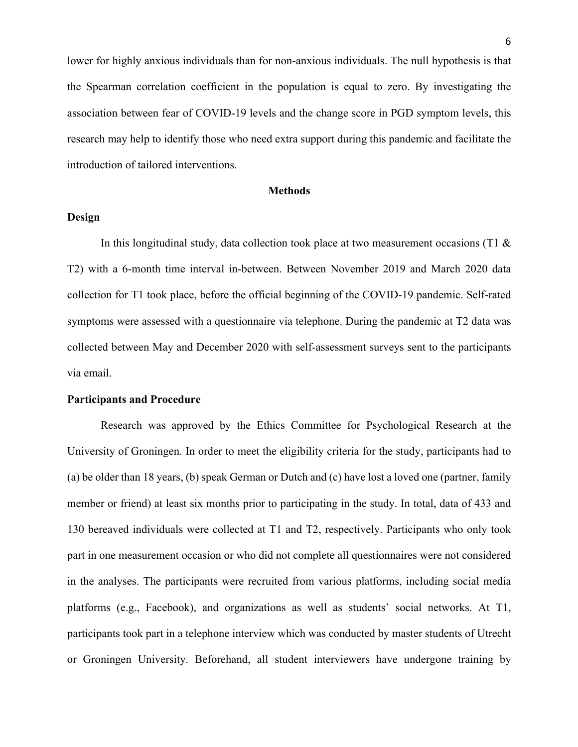lower for highly anxious individuals than for non-anxious individuals. The null hypothesis is that the Spearman correlation coefficient in the population is equal to zero. By investigating the association between fear of COVID-19 levels and the change score in PGD symptom levels, this research may help to identify those who need extra support during this pandemic and facilitate the introduction of tailored interventions.

#### **Methods**

#### **Design**

In this longitudinal study, data collection took place at two measurement occasions (T1 & T2) with a 6-month time interval in-between. Between November 2019 and March 2020 data collection for T1 took place, before the official beginning of the COVID-19 pandemic. Self-rated symptoms were assessed with a questionnaire via telephone. During the pandemic at T2 data was collected between May and December 2020 with self-assessment surveys sent to the participants via email.

# **Participants and Procedure**

Research was approved by the Ethics Committee for Psychological Research at the University of Groningen. In order to meet the eligibility criteria for the study, participants had to (a) be older than 18 years, (b) speak German or Dutch and (c) have lost a loved one (partner, family member or friend) at least six months prior to participating in the study. In total, data of 433 and 130 bereaved individuals were collected at T1 and T2, respectively. Participants who only took part in one measurement occasion or who did not complete all questionnaires were not considered in the analyses. The participants were recruited from various platforms, including social media platforms (e.g., Facebook), and organizations as well as students' social networks. At T1, participants took part in a telephone interview which was conducted by master students of Utrecht or Groningen University. Beforehand, all student interviewers have undergone training by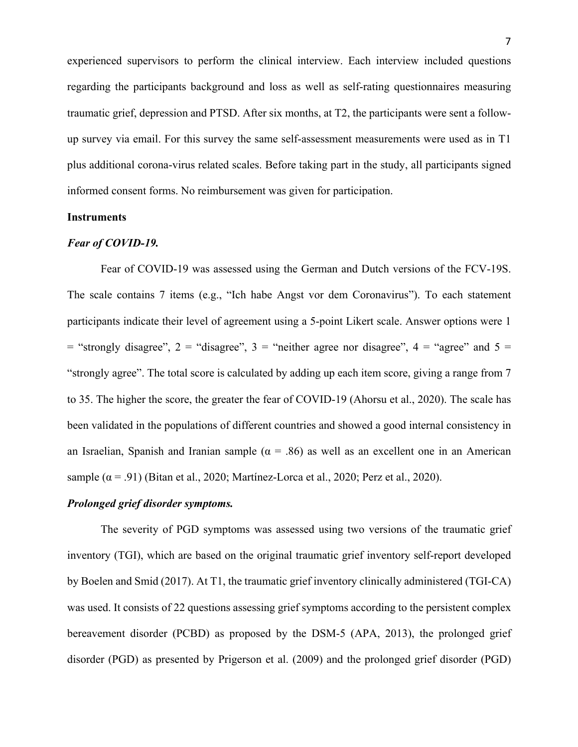experienced supervisors to perform the clinical interview. Each interview included questions regarding the participants background and loss as well as self-rating questionnaires measuring traumatic grief, depression and PTSD. After six months, at T2, the participants were sent a followup survey via email. For this survey the same self-assessment measurements were used as in T1 plus additional corona-virus related scales. Before taking part in the study, all participants signed informed consent forms. No reimbursement was given for participation.

### **Instruments**

#### *Fear of COVID-19.*

Fear of COVID-19 was assessed using the German and Dutch versions of the FCV-19S. The scale contains 7 items (e.g., "Ich habe Angst vor dem Coronavirus"). To each statement participants indicate their level of agreement using a 5-point Likert scale. Answer options were 1  $=$  "strongly disagree", 2 = "disagree", 3 = "neither agree nor disagree", 4 = "agree" and 5 = "strongly agree". The total score is calculated by adding up each item score, giving a range from 7 to 35. The higher the score, the greater the fear of COVID-19 (Ahorsu et al., 2020). The scale has been validated in the populations of different countries and showed a good internal consistency in an Israelian, Spanish and Iranian sample ( $\alpha = .86$ ) as well as an excellent one in an American sample  $(\alpha = .91)$  (Bitan et al., 2020; Martínez-Lorca et al., 2020; Perz et al., 2020).

## *Prolonged grief disorder symptoms.*

The severity of PGD symptoms was assessed using two versions of the traumatic grief inventory (TGI), which are based on the original traumatic grief inventory self-report developed by Boelen and Smid (2017). At T1, the traumatic grief inventory clinically administered (TGI-CA) was used. It consists of 22 questions assessing grief symptoms according to the persistent complex bereavement disorder (PCBD) as proposed by the DSM-5 (APA, 2013), the prolonged grief disorder (PGD) as presented by Prigerson et al. (2009) and the prolonged grief disorder (PGD)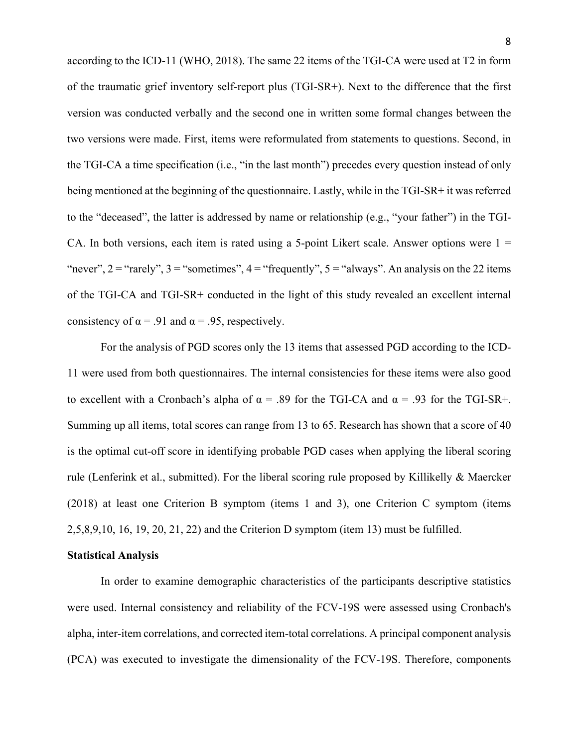according to the ICD-11 (WHO, 2018). The same 22 items of the TGI-CA were used at T2 in form of the traumatic grief inventory self-report plus (TGI-SR+). Next to the difference that the first version was conducted verbally and the second one in written some formal changes between the two versions were made. First, items were reformulated from statements to questions. Second, in the TGI-CA a time specification (i.e., "in the last month") precedes every question instead of only being mentioned at the beginning of the questionnaire. Lastly, while in the TGI-SR+ it was referred to the "deceased", the latter is addressed by name or relationship (e.g., "your father") in the TGI-CA. In both versions, each item is rated using a 5-point Likert scale. Answer options were  $1 =$ "never",  $2 =$  "rarely",  $3 =$  "sometimes",  $4 =$  "frequently",  $5 =$  "always". An analysis on the 22 items of the TGI-CA and TGI-SR+ conducted in the light of this study revealed an excellent internal consistency of  $\alpha$  = .91 and  $\alpha$  = .95, respectively.

For the analysis of PGD scores only the 13 items that assessed PGD according to the ICD-11 were used from both questionnaires. The internal consistencies for these items were also good to excellent with a Cronbach's alpha of  $\alpha = .89$  for the TGI-CA and  $\alpha = .93$  for the TGI-SR+. Summing up all items, total scores can range from 13 to 65. Research has shown that a score of 40 is the optimal cut-off score in identifying probable PGD cases when applying the liberal scoring rule (Lenferink et al., submitted). For the liberal scoring rule proposed by Killikelly & Maercker (2018) at least one Criterion B symptom (items 1 and 3), one Criterion C symptom (items 2,5,8,9,10, 16, 19, 20, 21, 22) and the Criterion D symptom (item 13) must be fulfilled.

#### **Statistical Analysis**

In order to examine demographic characteristics of the participants descriptive statistics were used. Internal consistency and reliability of the FCV-19S were assessed using Cronbach's alpha, inter-item correlations, and corrected item-total correlations. A principal component analysis (PCA) was executed to investigate the dimensionality of the FCV-19S. Therefore, components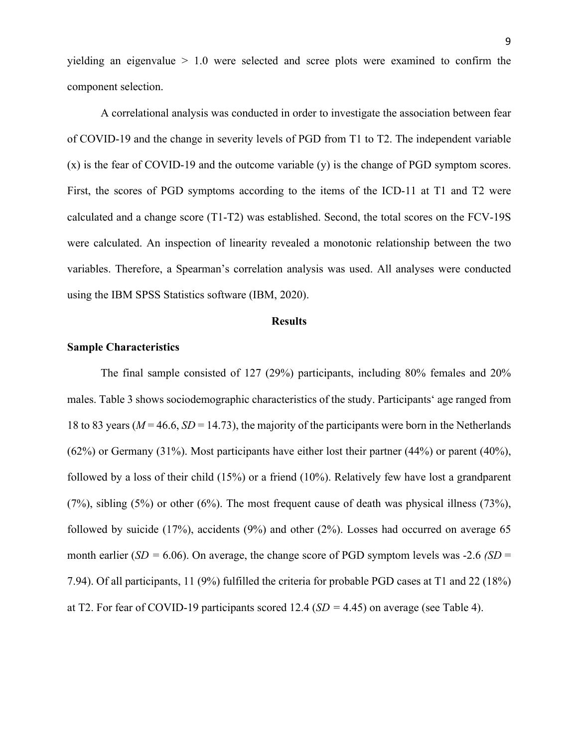yielding an eigenvalue  $> 1.0$  were selected and scree plots were examined to confirm the component selection.

A correlational analysis was conducted in order to investigate the association between fear of COVID-19 and the change in severity levels of PGD from T1 to T2. The independent variable (x) is the fear of COVID-19 and the outcome variable (y) is the change of PGD symptom scores. First, the scores of PGD symptoms according to the items of the ICD-11 at T1 and T2 were calculated and a change score (T1-T2) was established. Second, the total scores on the FCV-19S were calculated. An inspection of linearity revealed a monotonic relationship between the two variables. Therefore, a Spearman's correlation analysis was used. All analyses were conducted using the IBM SPSS Statistics software (IBM, 2020).

#### **Results**

#### **Sample Characteristics**

The final sample consisted of 127 (29%) participants, including 80% females and 20% males. Table 3 shows sociodemographic characteristics of the study. Participants' age ranged from 18 to 83 years ( $M = 46.6$ ,  $SD = 14.73$ ), the majority of the participants were born in the Netherlands (62%) or Germany (31%). Most participants have either lost their partner (44%) or parent (40%), followed by a loss of their child (15%) or a friend (10%). Relatively few have lost a grandparent (7%), sibling (5%) or other (6%). The most frequent cause of death was physical illness (73%), followed by suicide  $(17%)$ , accidents  $(9%)$  and other  $(2%)$ . Losses had occurred on average 65 month earlier (*SD =* 6.06). On average, the change score of PGD symptom levels was -2.6 *(SD* = 7.94). Of all participants, 11 (9%) fulfilled the criteria for probable PGD cases at T1 and 22 (18%) at T2. For fear of COVID-19 participants scored 12.4 (*SD =* 4.45) on average (see Table 4).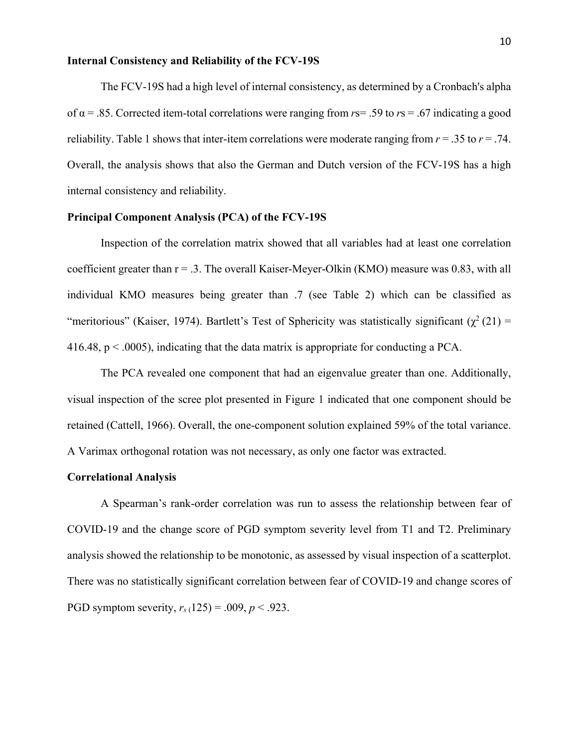#### **Internal Consistency and Reliability of the FCV-19S**

The FCV-19S had a high level of internal consistency, as determined by a Cronbach's alpha of α = .85. Corrected item-total correlations were ranging from *r*s= .59 to *r*s = .67 indicating a good reliability. Table 1 shows that inter-item correlations were moderate ranging from  $r = .35$  to  $r = .74$ . Overall, the analysis shows that also the German and Dutch version of the FCV-19S has a high internal consistency and reliability.

## **Principal Component Analysis (PCA) of the FCV-19S**

Inspection of the correlation matrix showed that all variables had at least one correlation coefficient greater than  $r = .3$ . The overall Kaiser-Meyer-Olkin (KMO) measure was 0.83, with all individual KMO measures being greater than .7 (see Table 2) which can be classified as "meritorious" (Kaiser, 1974). Bartlett's Test of Sphericity was statistically significant ( $\chi^2$  (21) = 416.48,  $p < .0005$ ), indicating that the data matrix is appropriate for conducting a PCA.

The PCA revealed one component that had an eigenvalue greater than one. Additionally, visual inspection of the scree plot presented in Figure 1 indicated that one component should be retained (Cattell, 1966). Overall, the one-component solution explained 59% of the total variance. A Varimax orthogonal rotation was not necessary, as only one factor was extracted.

#### **Correlational Analysis**

A Spearman's rank-order correlation was run to assess the relationship between fear of COVID-19 and the change score of PGD symptom severity level from T1 and T2. Preliminary analysis showed the relationship to be monotonic, as assessed by visual inspection of a scatterplot. There was no statistically significant correlation between fear of COVID-19 and change scores of PGD symptom severity,  $r_s(125) = .009$ ,  $p < .923$ .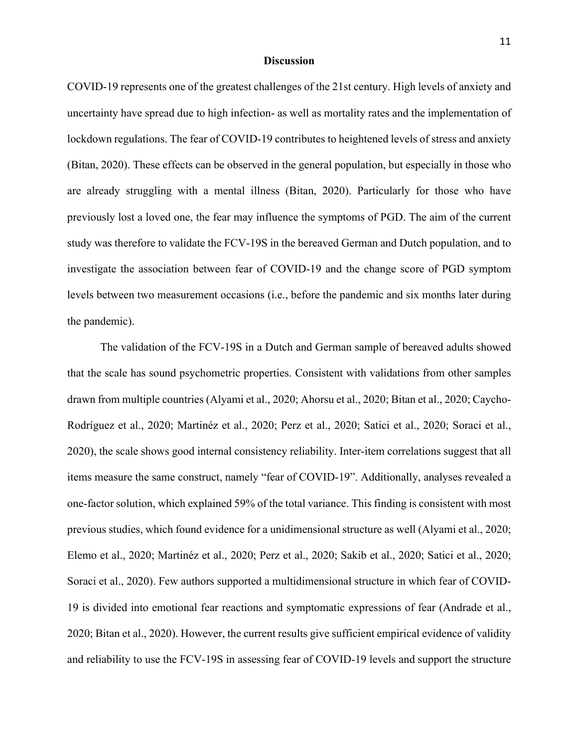#### **Discussion**

COVID-19 represents one of the greatest challenges of the 21st century. High levels of anxiety and uncertainty have spread due to high infection- as well as mortality rates and the implementation of lockdown regulations. The fear of COVID-19 contributes to heightened levels of stress and anxiety (Bitan, 2020). These effects can be observed in the general population, but especially in those who are already struggling with a mental illness (Bitan, 2020). Particularly for those who have previously lost a loved one, the fear may influence the symptoms of PGD. The aim of the current study was therefore to validate the FCV-19S in the bereaved German and Dutch population, and to investigate the association between fear of COVID-19 and the change score of PGD symptom levels between two measurement occasions (i.e., before the pandemic and six months later during the pandemic).

The validation of the FCV-19S in a Dutch and German sample of bereaved adults showed that the scale has sound psychometric properties. Consistent with validations from other samples drawn from multiple countries (Alyami et al., 2020; Ahorsu et al., 2020; Bitan et al., 2020; Caycho-Rodríguez et al., 2020; Martinéz et al., 2020; Perz et al., 2020; Satici et al., 2020; Soraci et al., 2020), the scale shows good internal consistency reliability. Inter-item correlations suggest that all items measure the same construct, namely "fear of COVID-19". Additionally, analyses revealed a one-factor solution, which explained 59% of the total variance. This finding is consistent with most previous studies, which found evidence for a unidimensional structure as well (Alyami et al., 2020; Elemo et al., 2020; Martinéz et al., 2020; Perz et al., 2020; Sakib et al., 2020; Satici et al., 2020; Soraci et al., 2020). Few authors supported a multidimensional structure in which fear of COVID-19 is divided into emotional fear reactions and symptomatic expressions of fear (Andrade et al., 2020; Bitan et al., 2020). However, the current results give sufficient empirical evidence of validity and reliability to use the FCV-19S in assessing fear of COVID-19 levels and support the structure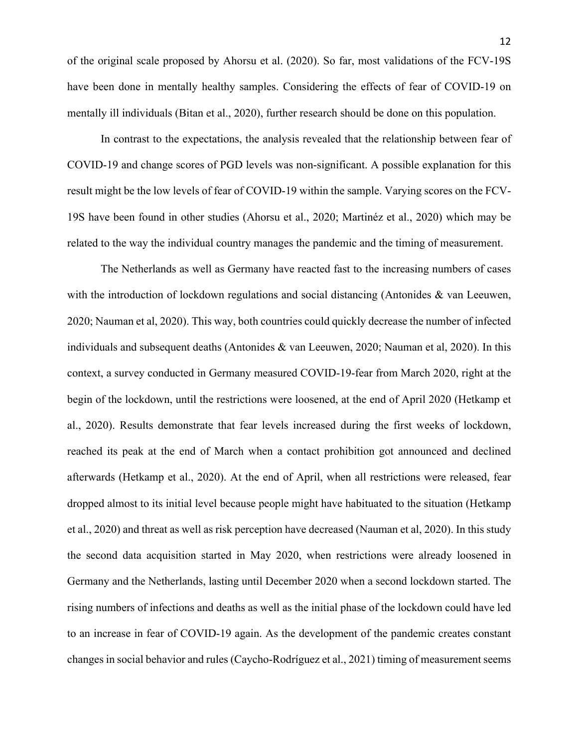of the original scale proposed by Ahorsu et al. (2020). So far, most validations of the FCV-19S have been done in mentally healthy samples. Considering the effects of fear of COVID-19 on mentally ill individuals (Bitan et al., 2020), further research should be done on this population.

In contrast to the expectations, the analysis revealed that the relationship between fear of COVID-19 and change scores of PGD levels was non-significant. A possible explanation for this result might be the low levels of fear of COVID-19 within the sample. Varying scores on the FCV-19S have been found in other studies (Ahorsu et al., 2020; Martinéz et al., 2020) which may be related to the way the individual country manages the pandemic and the timing of measurement.

The Netherlands as well as Germany have reacted fast to the increasing numbers of cases with the introduction of lockdown regulations and social distancing (Antonides & van Leeuwen, 2020; Nauman et al, 2020). This way, both countries could quickly decrease the number of infected individuals and subsequent deaths (Antonides & van Leeuwen, 2020; Nauman et al, 2020). In this context, a survey conducted in Germany measured COVID-19-fear from March 2020, right at the begin of the lockdown, until the restrictions were loosened, at the end of April 2020 (Hetkamp et al., 2020). Results demonstrate that fear levels increased during the first weeks of lockdown, reached its peak at the end of March when a contact prohibition got announced and declined afterwards (Hetkamp et al., 2020). At the end of April, when all restrictions were released, fear dropped almost to its initial level because people might have habituated to the situation (Hetkamp et al., 2020) and threat as well as risk perception have decreased (Nauman et al, 2020). In this study the second data acquisition started in May 2020, when restrictions were already loosened in Germany and the Netherlands, lasting until December 2020 when a second lockdown started. The rising numbers of infections and deaths as well as the initial phase of the lockdown could have led to an increase in fear of COVID-19 again. As the development of the pandemic creates constant changes in social behavior and rules (Caycho-Rodríguez et al., 2021) timing of measurement seems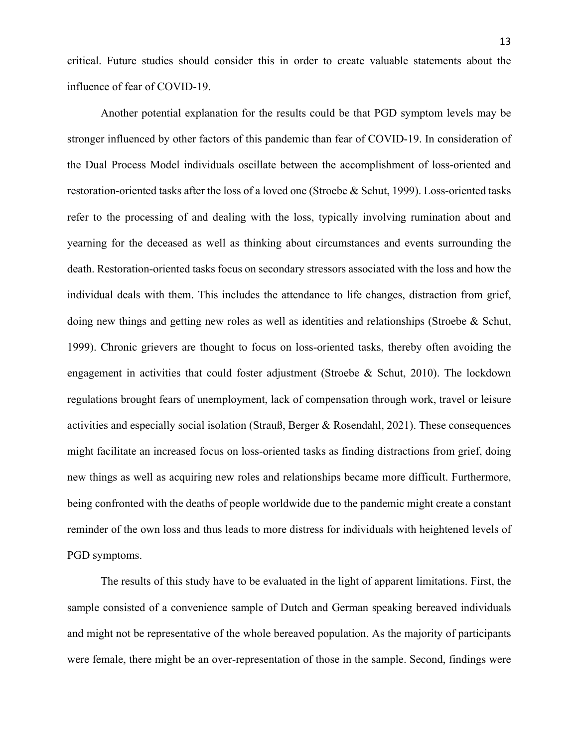critical. Future studies should consider this in order to create valuable statements about the influence of fear of COVID-19.

Another potential explanation for the results could be that PGD symptom levels may be stronger influenced by other factors of this pandemic than fear of COVID-19. In consideration of the Dual Process Model individuals oscillate between the accomplishment of loss-oriented and restoration-oriented tasks after the loss of a loved one (Stroebe & Schut, 1999). Loss-oriented tasks refer to the processing of and dealing with the loss, typically involving rumination about and yearning for the deceased as well as thinking about circumstances and events surrounding the death. Restoration-oriented tasks focus on secondary stressors associated with the loss and how the individual deals with them. This includes the attendance to life changes, distraction from grief, doing new things and getting new roles as well as identities and relationships (Stroebe & Schut, 1999). Chronic grievers are thought to focus on loss-oriented tasks, thereby often avoiding the engagement in activities that could foster adjustment (Stroebe & Schut, 2010). The lockdown regulations brought fears of unemployment, lack of compensation through work, travel or leisure activities and especially social isolation (Strauß, Berger & Rosendahl, 2021). These consequences might facilitate an increased focus on loss-oriented tasks as finding distractions from grief, doing new things as well as acquiring new roles and relationships became more difficult. Furthermore, being confronted with the deaths of people worldwide due to the pandemic might create a constant reminder of the own loss and thus leads to more distress for individuals with heightened levels of PGD symptoms.

The results of this study have to be evaluated in the light of apparent limitations. First, the sample consisted of a convenience sample of Dutch and German speaking bereaved individuals and might not be representative of the whole bereaved population. As the majority of participants were female, there might be an over-representation of those in the sample. Second, findings were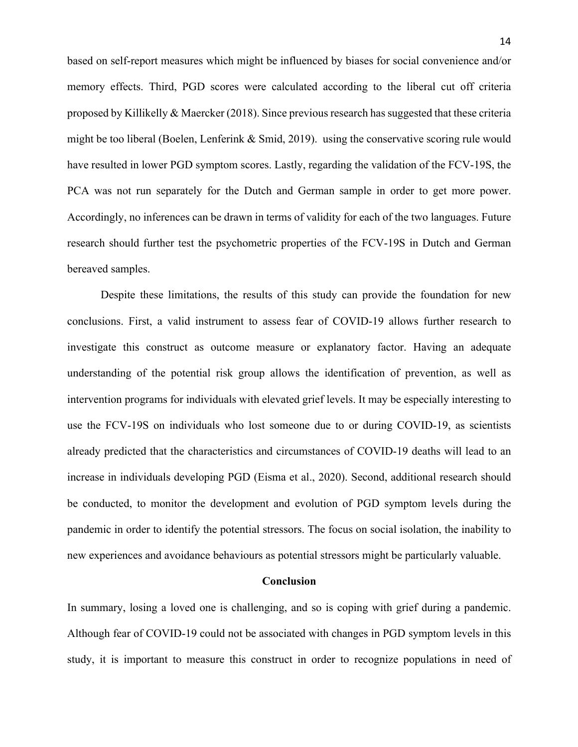based on self-report measures which might be influenced by biases for social convenience and/or memory effects. Third, PGD scores were calculated according to the liberal cut off criteria proposed by Killikelly  $&$  Maercker (2018). Since previous research has suggested that these criteria might be too liberal (Boelen, Lenferink  $\&$  Smid, 2019). using the conservative scoring rule would have resulted in lower PGD symptom scores. Lastly, regarding the validation of the FCV-19S, the PCA was not run separately for the Dutch and German sample in order to get more power. Accordingly, no inferences can be drawn in terms of validity for each of the two languages. Future research should further test the psychometric properties of the FCV-19S in Dutch and German bereaved samples.

Despite these limitations, the results of this study can provide the foundation for new conclusions. First, a valid instrument to assess fear of COVID-19 allows further research to investigate this construct as outcome measure or explanatory factor. Having an adequate understanding of the potential risk group allows the identification of prevention, as well as intervention programs for individuals with elevated grief levels. It may be especially interesting to use the FCV-19S on individuals who lost someone due to or during COVID-19, as scientists already predicted that the characteristics and circumstances of COVID-19 deaths will lead to an increase in individuals developing PGD (Eisma et al., 2020). Second, additional research should be conducted, to monitor the development and evolution of PGD symptom levels during the pandemic in order to identify the potential stressors. The focus on social isolation, the inability to new experiences and avoidance behaviours as potential stressors might be particularly valuable.

### **Conclusion**

In summary, losing a loved one is challenging, and so is coping with grief during a pandemic. Although fear of COVID-19 could not be associated with changes in PGD symptom levels in this study, it is important to measure this construct in order to recognize populations in need of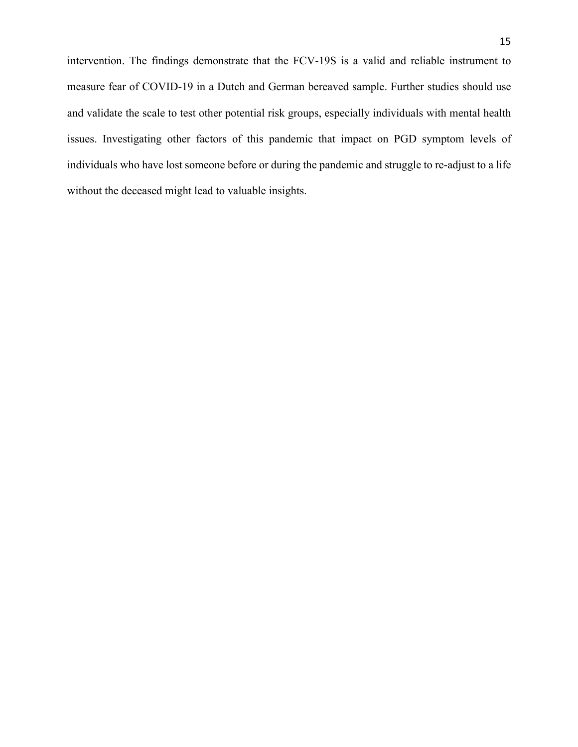intervention. The findings demonstrate that the FCV-19S is a valid and reliable instrument to measure fear of COVID-19 in a Dutch and German bereaved sample. Further studies should use and validate the scale to test other potential risk groups, especially individuals with mental health issues. Investigating other factors of this pandemic that impact on PGD symptom levels of individuals who have lost someone before or during the pandemic and struggle to re-adjust to a life without the deceased might lead to valuable insights.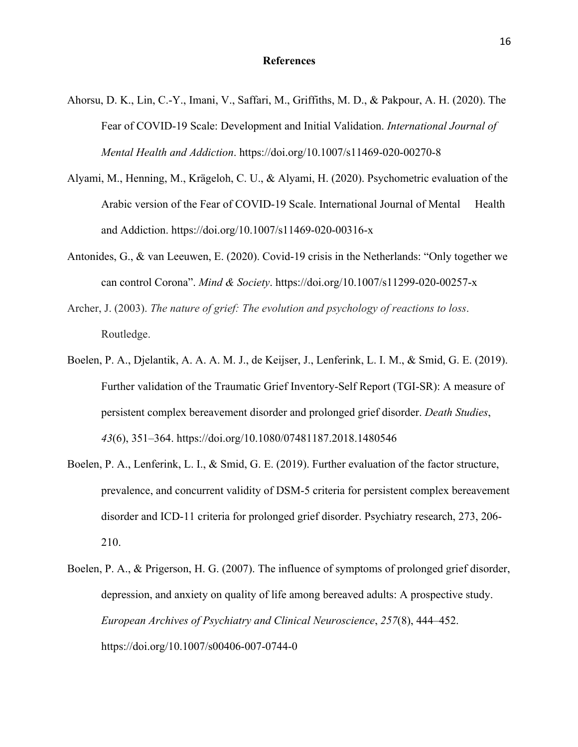- Ahorsu, D. K., Lin, C.-Y., Imani, V., Saffari, M., Griffiths, M. D., & Pakpour, A. H. (2020). The Fear of COVID-19 Scale: Development and Initial Validation. *International Journal of Mental Health and Addiction*. https://doi.org/10.1007/s11469-020-00270-8
- Alyami, M., Henning, M., Krägeloh, C. U., & Alyami, H. (2020). Psychometric evaluation of the Arabic version of the Fear of COVID-19 Scale. International Journal of Mental Health and Addiction. https://doi.org/10.1007/s11469-020-00316-x
- Antonides, G., & van Leeuwen, E. (2020). Covid-19 crisis in the Netherlands: "Only together we can control Corona". *Mind & Society*. https://doi.org/10.1007/s11299-020-00257-x
- Archer, J. (2003). *The nature of grief: The evolution and psychology of reactions to loss*. Routledge.
- Boelen, P. A., Djelantik, A. A. A. M. J., de Keijser, J., Lenferink, L. I. M., & Smid, G. E. (2019). Further validation of the Traumatic Grief Inventory-Self Report (TGI-SR): A measure of persistent complex bereavement disorder and prolonged grief disorder. *Death Studies*, *43*(6), 351–364. https://doi.org/10.1080/07481187.2018.1480546
- Boelen, P. A., Lenferink, L. I., & Smid, G. E. (2019). Further evaluation of the factor structure, prevalence, and concurrent validity of DSM-5 criteria for persistent complex bereavement disorder and ICD-11 criteria for prolonged grief disorder. Psychiatry research, 273, 206- 210.
- Boelen, P. A., & Prigerson, H. G. (2007). The influence of symptoms of prolonged grief disorder, depression, and anxiety on quality of life among bereaved adults: A prospective study. *European Archives of Psychiatry and Clinical Neuroscience*, *257*(8), 444–452. https://doi.org/10.1007/s00406-007-0744-0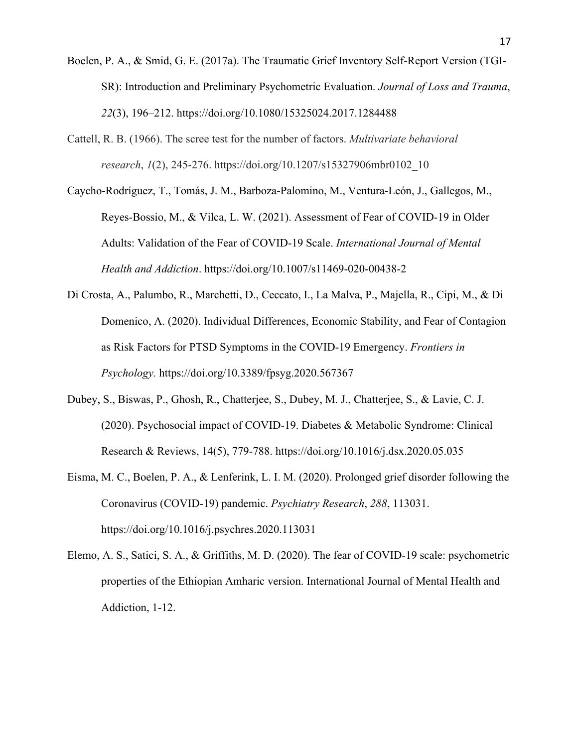- Boelen, P. A., & Smid, G. E. (2017a). The Traumatic Grief Inventory Self-Report Version (TGI-SR): Introduction and Preliminary Psychometric Evaluation. *Journal of Loss and Trauma*, *22*(3), 196–212. https://doi.org/10.1080/15325024.2017.1284488
- Cattell, R. B. (1966). The scree test for the number of factors. *Multivariate behavioral research*, *1*(2), 245-276. https://doi.org/10.1207/s15327906mbr0102\_10
- Caycho-Rodríguez, T., Tomás, J. M., Barboza-Palomino, M., Ventura-León, J., Gallegos, M., Reyes-Bossio, M., & Vilca, L. W. (2021). Assessment of Fear of COVID-19 in Older Adults: Validation of the Fear of COVID-19 Scale. *International Journal of Mental Health and Addiction*. https://doi.org/10.1007/s11469-020-00438-2
- Di Crosta, A., Palumbo, R., Marchetti, D., Ceccato, I., La Malva, P., Majella, R., Cipi, M., & Di Domenico, A. (2020). Individual Differences, Economic Stability, and Fear of Contagion as Risk Factors for PTSD Symptoms in the COVID-19 Emergency. *Frontiers in Psychology.* https://doi.org/10.3389/fpsyg.2020.567367
- Dubey, S., Biswas, P., Ghosh, R., Chatterjee, S., Dubey, M. J., Chatterjee, S., & Lavie, C. J. (2020). Psychosocial impact of COVID-19. Diabetes & Metabolic Syndrome: Clinical Research & Reviews, 14(5), 779-788. https://doi.org/10.1016/j.dsx.2020.05.035
- Eisma, M. C., Boelen, P. A., & Lenferink, L. I. M. (2020). Prolonged grief disorder following the Coronavirus (COVID-19) pandemic. *Psychiatry Research*, *288*, 113031. https://doi.org/10.1016/j.psychres.2020.113031
- Elemo, A. S., Satici, S. A., & Griffiths, M. D. (2020). The fear of COVID-19 scale: psychometric properties of the Ethiopian Amharic version. International Journal of Mental Health and Addiction, 1-12.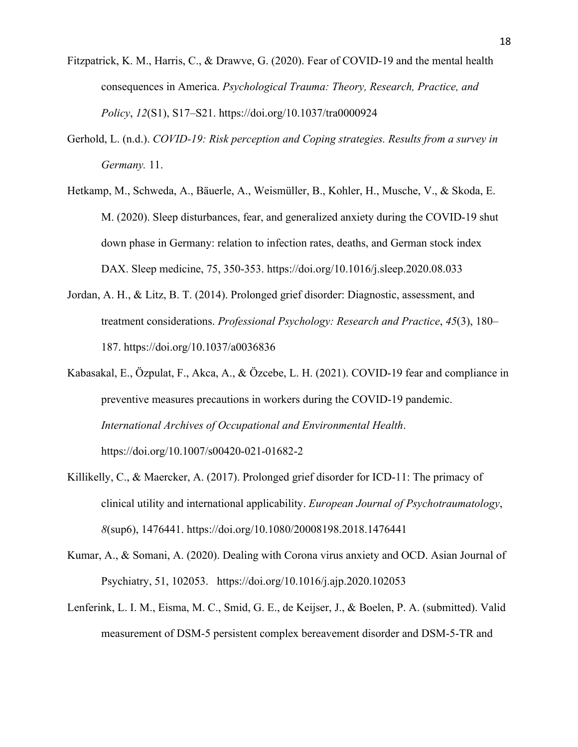- Fitzpatrick, K. M., Harris, C., & Drawve, G. (2020). Fear of COVID-19 and the mental health consequences in America. *Psychological Trauma: Theory, Research, Practice, and Policy*, *12*(S1), S17–S21. https://doi.org/10.1037/tra0000924
- Gerhold, L. (n.d.). *COVID-19: Risk perception and Coping strategies. Results from a survey in Germany.* 11.
- Hetkamp, M., Schweda, A., Bäuerle, A., Weismüller, B., Kohler, H., Musche, V., & Skoda, E. M. (2020). Sleep disturbances, fear, and generalized anxiety during the COVID-19 shut down phase in Germany: relation to infection rates, deaths, and German stock index DAX. Sleep medicine, 75, 350-353. https://doi.org/10.1016/j.sleep.2020.08.033
- Jordan, A. H., & Litz, B. T. (2014). Prolonged grief disorder: Diagnostic, assessment, and treatment considerations. *Professional Psychology: Research and Practice*, *45*(3), 180– 187. https://doi.org/10.1037/a0036836
- Kabasakal, E., Özpulat, F., Akca, A., & Özcebe, L. H. (2021). COVID-19 fear and compliance in preventive measures precautions in workers during the COVID-19 pandemic. *International Archives of Occupational and Environmental Health*. https://doi.org/10.1007/s00420-021-01682-2
- Killikelly, C., & Maercker, A. (2017). Prolonged grief disorder for ICD-11: The primacy of clinical utility and international applicability. *European Journal of Psychotraumatology*, *8*(sup6), 1476441. https://doi.org/10.1080/20008198.2018.1476441
- Kumar, A., & Somani, A. (2020). Dealing with Corona virus anxiety and OCD. Asian Journal of Psychiatry, 51, 102053. https://doi.org/10.1016/j.ajp.2020.102053
- Lenferink, L. I. M., Eisma, M. C., Smid, G. E., de Keijser, J., & Boelen, P. A. (submitted). Valid measurement of DSM-5 persistent complex bereavement disorder and DSM-5-TR and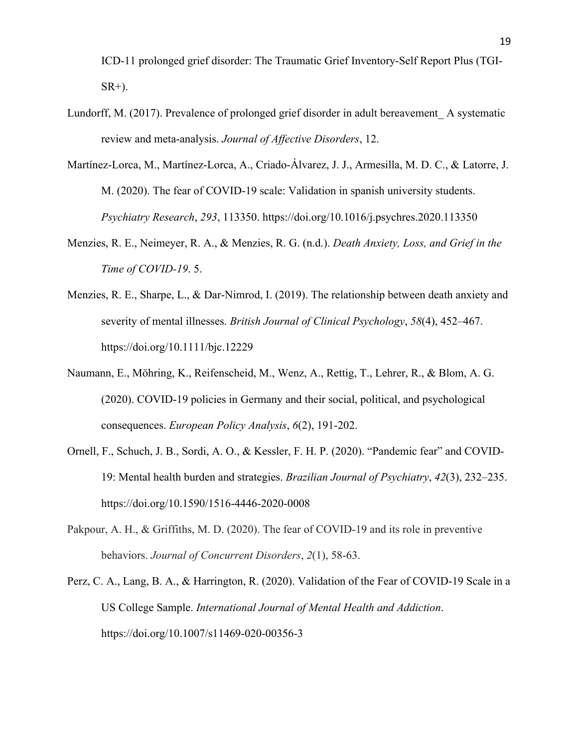ICD-11 prolonged grief disorder: The Traumatic Grief Inventory-Self Report Plus (TGI-SR+).

- Lundorff, M. (2017). Prevalence of prolonged grief disorder in adult bereavement\_ A systematic review and meta-analysis. *Journal of Affective Disorders*, 12.
- Martínez-Lorca, M., Martínez-Lorca, A., Criado-Álvarez, J. J., Armesilla, M. D. C., & Latorre, J. M. (2020). The fear of COVID-19 scale: Validation in spanish university students. *Psychiatry Research*, *293*, 113350. https://doi.org/10.1016/j.psychres.2020.113350
- Menzies, R. E., Neimeyer, R. A., & Menzies, R. G. (n.d.). *Death Anxiety, Loss, and Grief in the Time of COVID-19*. 5.
- Menzies, R. E., Sharpe, L., & Dar-Nimrod, I. (2019). The relationship between death anxiety and severity of mental illnesses. *British Journal of Clinical Psychology*, *58*(4), 452–467. https://doi.org/10.1111/bjc.12229
- Naumann, E., Möhring, K., Reifenscheid, M., Wenz, A., Rettig, T., Lehrer, R., & Blom, A. G. (2020). COVID‐19 policies in Germany and their social, political, and psychological consequences. *European Policy Analysis*, *6*(2), 191-202.
- Ornell, F., Schuch, J. B., Sordi, A. O., & Kessler, F. H. P. (2020). "Pandemic fear" and COVID-19: Mental health burden and strategies. *Brazilian Journal of Psychiatry*, *42*(3), 232–235. https://doi.org/10.1590/1516-4446-2020-0008
- Pakpour, A. H., & Griffiths, M. D. (2020). The fear of COVID-19 and its role in preventive behaviors. *Journal of Concurrent Disorders*, *2*(1), 58-63.
- Perz, C. A., Lang, B. A., & Harrington, R. (2020). Validation of the Fear of COVID-19 Scale in a US College Sample. *International Journal of Mental Health and Addiction*. https://doi.org/10.1007/s11469-020-00356-3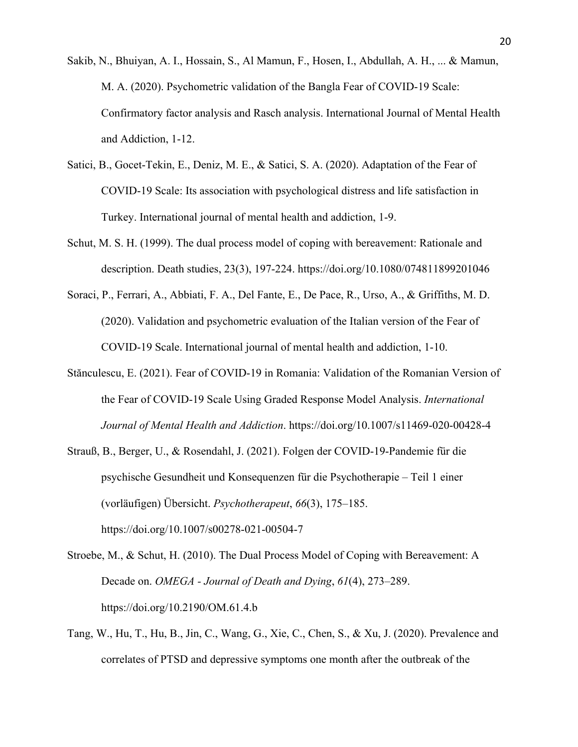- Sakib, N., Bhuiyan, A. I., Hossain, S., Al Mamun, F., Hosen, I., Abdullah, A. H., ... & Mamun, M. A. (2020). Psychometric validation of the Bangla Fear of COVID-19 Scale: Confirmatory factor analysis and Rasch analysis. International Journal of Mental Health and Addiction, 1-12.
- Satici, B., Gocet-Tekin, E., Deniz, M. E., & Satici, S. A. (2020). Adaptation of the Fear of COVID-19 Scale: Its association with psychological distress and life satisfaction in Turkey. International journal of mental health and addiction, 1-9.
- Schut, M. S. H. (1999). The dual process model of coping with bereavement: Rationale and description. Death studies, 23(3), 197-224. https://doi.org/10.1080/074811899201046
- Soraci, P., Ferrari, A., Abbiati, F. A., Del Fante, E., De Pace, R., Urso, A., & Griffiths, M. D. (2020). Validation and psychometric evaluation of the Italian version of the Fear of COVID-19 Scale. International journal of mental health and addiction, 1-10.
- Stănculescu, E. (2021). Fear of COVID-19 in Romania: Validation of the Romanian Version of the Fear of COVID-19 Scale Using Graded Response Model Analysis. *International Journal of Mental Health and Addiction*. https://doi.org/10.1007/s11469-020-00428-4
- Strauß, B., Berger, U., & Rosendahl, J. (2021). Folgen der COVID-19-Pandemie für die psychische Gesundheit und Konsequenzen für die Psychotherapie – Teil 1 einer (vorläufigen) Übersicht. *Psychotherapeut*, *66*(3), 175–185. https://doi.org/10.1007/s00278-021-00504-7
- Stroebe, M., & Schut, H. (2010). The Dual Process Model of Coping with Bereavement: A Decade on. *OMEGA - Journal of Death and Dying*, *61*(4), 273–289. https://doi.org/10.2190/OM.61.4.b
- Tang, W., Hu, T., Hu, B., Jin, C., Wang, G., Xie, C., Chen, S., & Xu, J. (2020). Prevalence and correlates of PTSD and depressive symptoms one month after the outbreak of the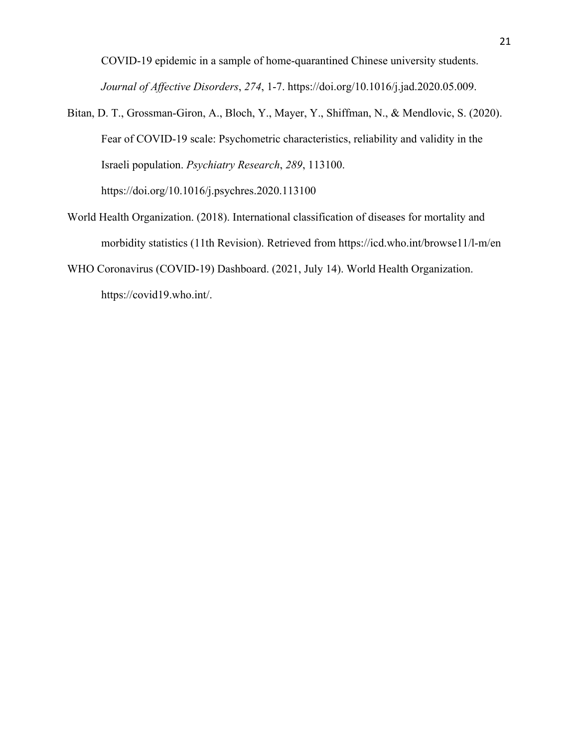COVID-19 epidemic in a sample of home-quarantined Chinese university students. *Journal of Affective Disorders*, *274*, 1-7. https://doi.org/10.1016/j.jad.2020.05.009.

- Bitan, D. T., Grossman-Giron, A., Bloch, Y., Mayer, Y., Shiffman, N., & Mendlovic, S. (2020). Fear of COVID-19 scale: Psychometric characteristics, reliability and validity in the Israeli population. *Psychiatry Research*, *289*, 113100. https://doi.org/10.1016/j.psychres.2020.113100
- World Health Organization. (2018). International classification of diseases for mortality and morbidity statistics (11th Revision). Retrieved from https://icd.who.int/browse11/l-m/en
- WHO Coronavirus (COVID-19) Dashboard. (2021, July 14). World Health Organization. https://covid19.who.int/.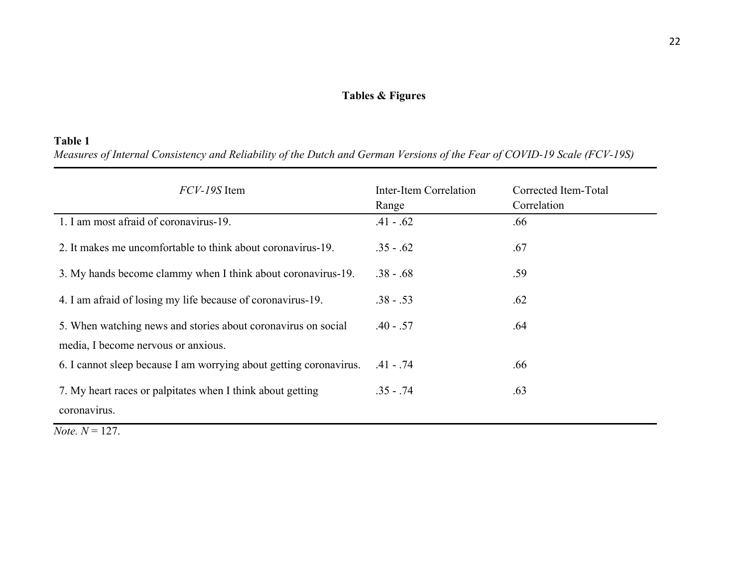# **Tables & Figures**

# **Table 1**

*Measures of Internal Consistency and Reliability of the Dutch and German Versions of the Fear of COVID-19 Scale (FCV-19S)*

| <i>FCV-19S</i> Item                                                                                  | Inter-Item Correlation<br>Range | Corrected Item-Total<br>Correlation |
|------------------------------------------------------------------------------------------------------|---------------------------------|-------------------------------------|
| 1. I am most afraid of coronavirus-19.                                                               | $.41 - .62$                     | .66                                 |
| 2. It makes me uncomfortable to think about coronavirus-19.                                          | $.35 - .62$                     | .67                                 |
| 3. My hands become clammy when I think about coronavirus-19.                                         | $.38 - .68$                     | .59                                 |
| 4. I am afraid of losing my life because of coronavirus-19.                                          | $.38 - .53$                     | .62                                 |
| 5. When watching news and stories about coronavirus on social<br>media, I become nervous or anxious. | $.40 - .57$                     | .64                                 |
| 6. I cannot sleep because I am worrying about getting coronavirus.                                   | $.41 - .74$                     | .66                                 |
| 7. My heart races or palpitates when I think about getting<br>coronavirus.                           | $.35 - .74$                     | .63                                 |

*Note.*  $N = 127$ .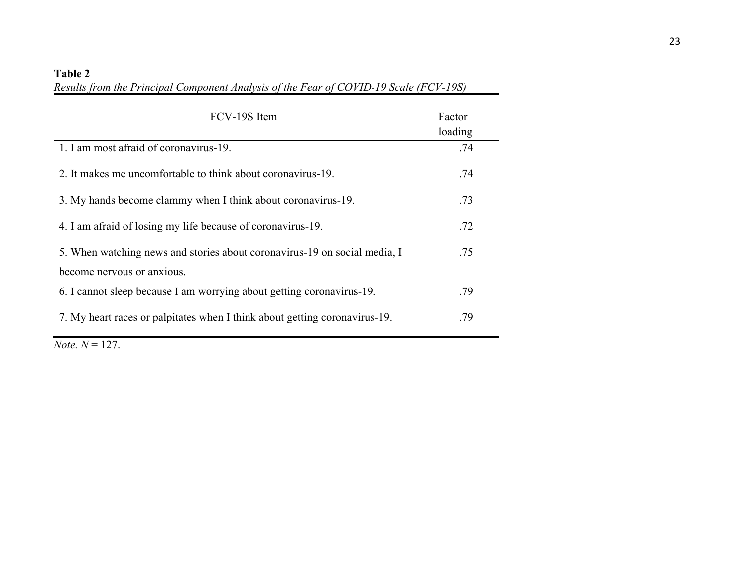# **Table 2**

*Results from the Principal Component Analysis of the Fear of COVID-19 Scale (FCV-19S)*

| FCV-19S Item                                                               | Factor<br>loading |
|----------------------------------------------------------------------------|-------------------|
| 1. I am most afraid of coronavirus-19.                                     | .74               |
| 2. It makes me uncomfortable to think about coronavirus-19.                | .74               |
| 3. My hands become clammy when I think about coronavirus-19.               | .73               |
| 4. I am afraid of losing my life because of coronavirus-19.                | .72               |
| 5. When watching news and stories about coronavirus-19 on social media, I  | .75               |
| become nervous or anxious.                                                 |                   |
| 6. I cannot sleep because I am worrying about getting coronavirus-19.      | .79               |
| 7. My heart races or palpitates when I think about getting coronavirus-19. | .79               |

*Note.*  $N = 127$ .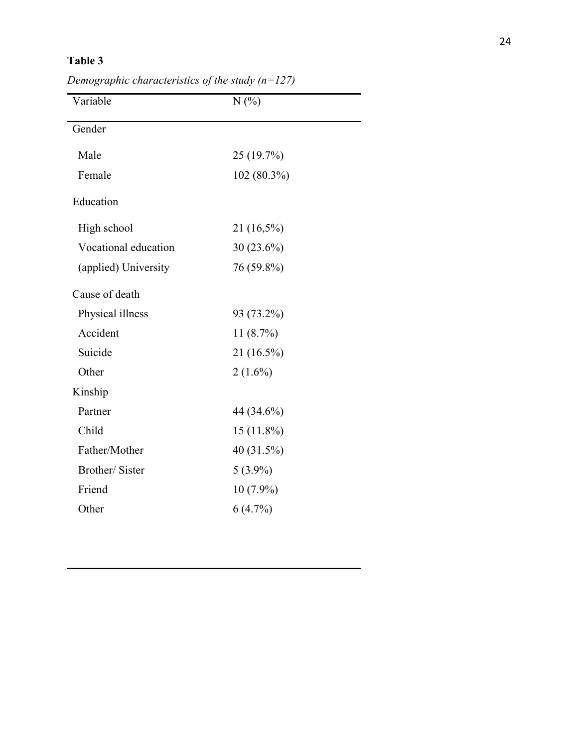# **Table 3**

| N(%)          |  |
|---------------|--|
|               |  |
| 25 (19.7%)    |  |
| $102(80.3\%)$ |  |
|               |  |
| 21 (16,5%)    |  |
| $30(23.6\%)$  |  |
| 76 (59.8%)    |  |
|               |  |
| 93 (73.2%)    |  |
| 11(8.7%)      |  |
| 21 (16.5%)    |  |
| $2(1.6\%)$    |  |
|               |  |
| 44 (34.6%)    |  |
| $15(11.8\%)$  |  |
| 40 (31.5%)    |  |
| $5(3.9\%)$    |  |
| $10(7.9\%)$   |  |
| 6(4.7%)       |  |
|               |  |

*Demographic characteristics of the study (n=127)*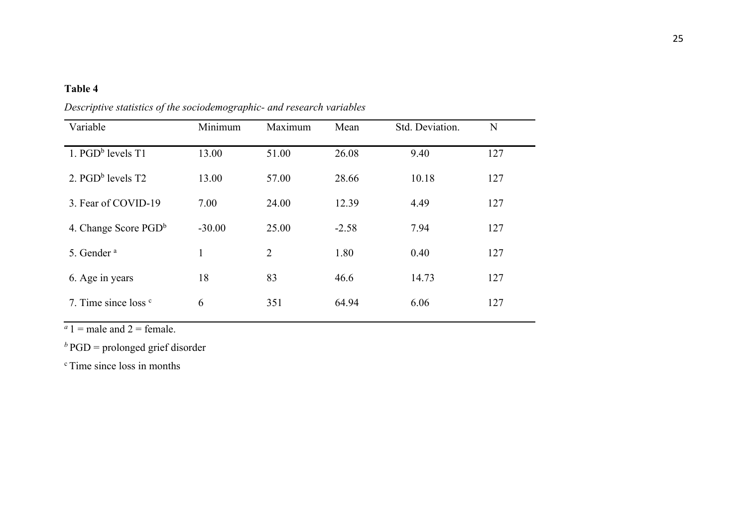# **Table 4**

| Variable                        | Minimum  | Maximum        | Mean    | Std. Deviation. | N   |
|---------------------------------|----------|----------------|---------|-----------------|-----|
| 1. $PGD^b$ levels $T1$          | 13.00    | 51.00          | 26.08   | 9.40            | 127 |
| 2. $PGDb$ levels T2             | 13.00    | 57.00          | 28.66   | 10.18           | 127 |
| 3. Fear of COVID-19             | 7.00     | 24.00          | 12.39   | 4.49            | 127 |
| 4. Change Score $PGD^b$         | $-30.00$ | 25.00          | $-2.58$ | 7.94            | 127 |
| 5. Gender <sup>a</sup>          | 1        | $\overline{2}$ | 1.80    | 0.40            | 127 |
| 6. Age in years                 | 18       | 83             | 46.6    | 14.73           | 127 |
| 7. Time since loss <sup>c</sup> | 6        | 351            | 64.94   | 6.06            | 127 |

*Descriptive statistics of the sociodemographic- and research variables* 

 $a_1$  = male and 2 = female.

*b* PGD = prolonged grief disorder

<sup>c</sup> Time since loss in months